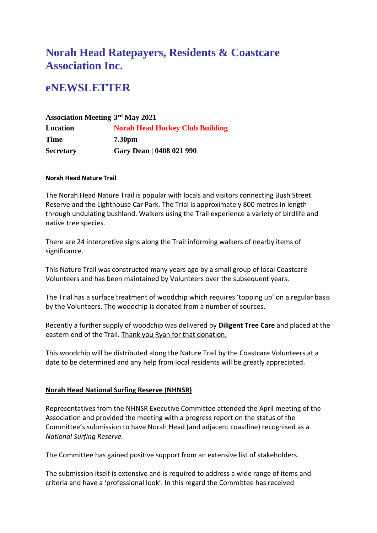# **Norah Head Ratepayers, Residents & Coastcare Association Inc.**

# **eNEWSLETTER**

## **Association Meeting 3 rd May 2021 Location Norah Head Hockey Club Building Time 7.30pm Secretary Gary Dean | 0408 021 990**

#### **Norah Head Nature Trail**

The Norah Head Nature Trail is popular with locals and visitors connecting Bush Street Reserve and the Lighthouse Car Park. The Trial is approximately 800 metres in length through undulating bushland. Walkers using the Trail experience a variety of birdlife and native tree species.

There are 24 interpretive signs along the Trail informing walkers of nearby items of significance.

This Nature Trail was constructed many years ago by a small group of local Coastcare Volunteers and has been maintained by Volunteers over the subsequent years.

The Trial has a surface treatment of woodchip which requires 'topping up' on a regular basis by the Volunteers. The woodchip is donated from a number of sources.

Recently a further supply of woodchip was delivered by **Diligent Tree Care** and placed at the eastern end of the Trail. Thank you Ryan for that donation.

This woodchip will be distributed along the Nature Trail by the Coastcare Volunteers at a date to be determined and any help from local residents will be greatly appreciated.

### **Norah Head National Surfing Reserve (NHNSR)**

Representatives from the NHNSR Executive Committee attended the April meeting of the Association and provided the meeting with a progress report on the status of the Committee's submission to have Norah Head (and adjacent coastline) recognised as a *National Surfing Reserve.*

The Committee has gained positive support from an extensive list of stakeholders.

The submission itself is extensive and is required to address a wide range of items and criteria and have a 'professional look'. In this regard the Committee has received